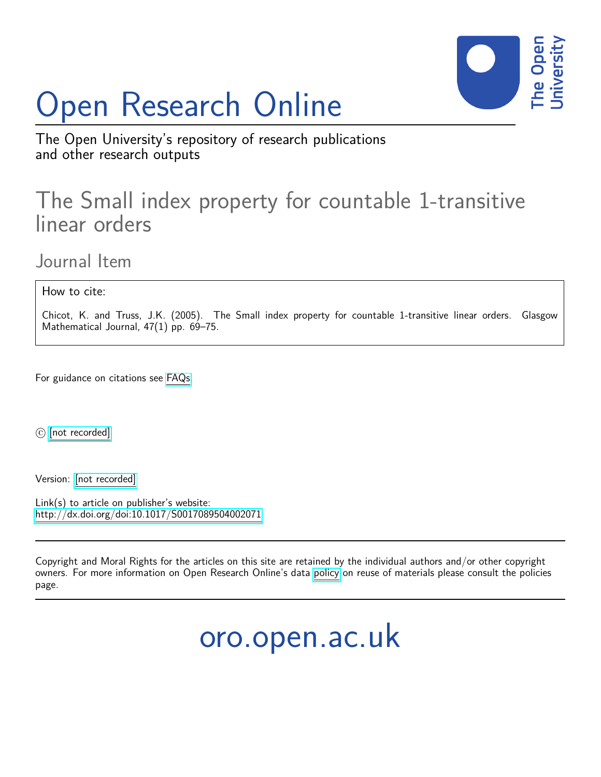# Open Research Online



The Open University's repository of research publications and other research outputs

## The Small index property for countable 1-transitive linear orders

Journal Item

How to cite:

Chicot, K. and Truss, J.K. (2005). The Small index property for countable 1-transitive linear orders. Glasgow Mathematical Journal, 47(1) pp. 69–75.

For guidance on citations see [FAQs.](http://oro.open.ac.uk/help/helpfaq.html)

 $\odot$  [\[not recorded\]](http://oro.open.ac.uk/help/helpfaq.html#Unrecorded_information_on_coversheet)

Version: [\[not recorded\]](http://oro.open.ac.uk/help/helpfaq.html#Unrecorded_information_on_coversheet)

Link(s) to article on publisher's website: <http://dx.doi.org/doi:10.1017/S0017089504002071>

Copyright and Moral Rights for the articles on this site are retained by the individual authors and/or other copyright owners. For more information on Open Research Online's data [policy](http://oro.open.ac.uk/policies.html) on reuse of materials please consult the policies page.

oro.open.ac.uk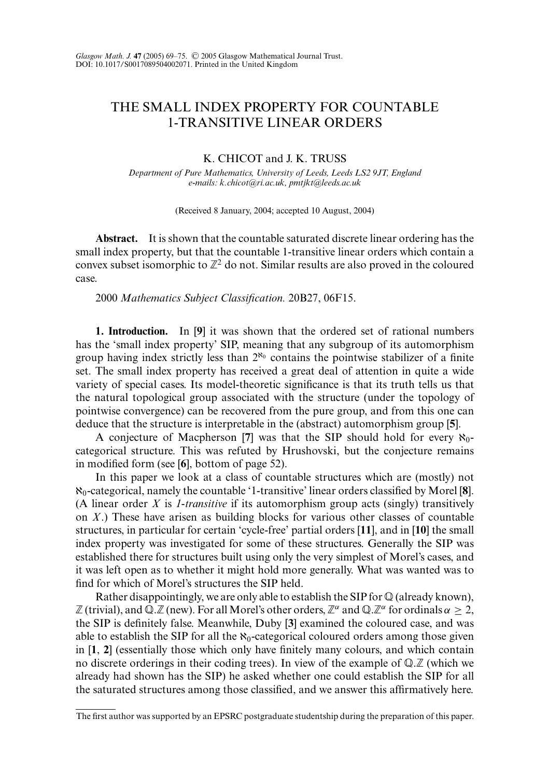### THE SMALL INDEX PROPERTY FOR COUNTABLE 1-TRANSITIVE LINEAR ORDERS

#### K. CHICOT and J. K. TRUSS

*Department of Pure Mathematics, University of Leeds, Leeds LS2 9JT, England e-mails: k.chicot@ri.ac.uk, pmtjkt@leeds.ac.uk*

(Received 8 January, 2004; accepted 10 August, 2004)

**Abstract.** It is shown that the countable saturated discrete linear ordering has the small index property, but that the countable 1-transitive linear orders which contain a convex subset isomorphic to  $\mathbb{Z}^2$  do not. Similar results are also proved in the coloured case.

2000 *Mathematics Subject Classification.* 20B27, 06F15.

**1. Introduction.** In [**9**] it was shown that the ordered set of rational numbers has the 'small index property' SIP, meaning that any subgroup of its automorphism group having index strictly less than  $2^{\aleph_0}$  contains the pointwise stabilizer of a finite set. The small index property has received a great deal of attention in quite a wide variety of special cases. Its model-theoretic significance is that its truth tells us that the natural topological group associated with the structure (under the topology of pointwise convergence) can be recovered from the pure group, and from this one can deduce that the structure is interpretable in the (abstract) automorphism group [**5**].

A conjecture of Macpherson [7] was that the SIP should hold for every  $\aleph_0$ categorical structure. This was refuted by Hrushovski, but the conjecture remains in modified form (see [**6**], bottom of page 52).

In this paper we look at a class of countable structures which are (mostly) not ℵ0-categorical, namely the countable '1-transitive' linear orders classified by Morel [**8**]. (A linear order *X* is *1-transitive* if its automorphism group acts (singly) transitively on *X*.) These have arisen as building blocks for various other classes of countable structures, in particular for certain 'cycle-free' partial orders [**11**], and in [**10**] the small index property was investigated for some of these structures. Generally the SIP was established there for structures built using only the very simplest of Morel's cases, and it was left open as to whether it might hold more generally. What was wanted was to find for which of Morel's structures the SIP held.

Rather disappointingly, we are only able to establish the SIP for  $\mathbb Q$  (already known),  $\mathbb Z$  (trivial), and Q. $\mathbb Z$  (new). For all Morel's other orders,  $\mathbb Z^{\alpha}$  and Q. $\mathbb Z^{\alpha}$  for ordinals  $\alpha \geq 2$ , the SIP is definitely false. Meanwhile, Duby [**3**] examined the coloured case, and was able to establish the SIP for all the  $\aleph_0$ -categorical coloured orders among those given in [**1**, **2**] (essentially those which only have finitely many colours, and which contain no discrete orderings in their coding trees). In view of the example of  $\mathbb{Q} \mathbb{Z}$  (which we already had shown has the SIP) he asked whether one could establish the SIP for all the saturated structures among those classified, and we answer this affirmatively here.

The first author was supported by an EPSRC postgraduate studentship during the preparation of this paper.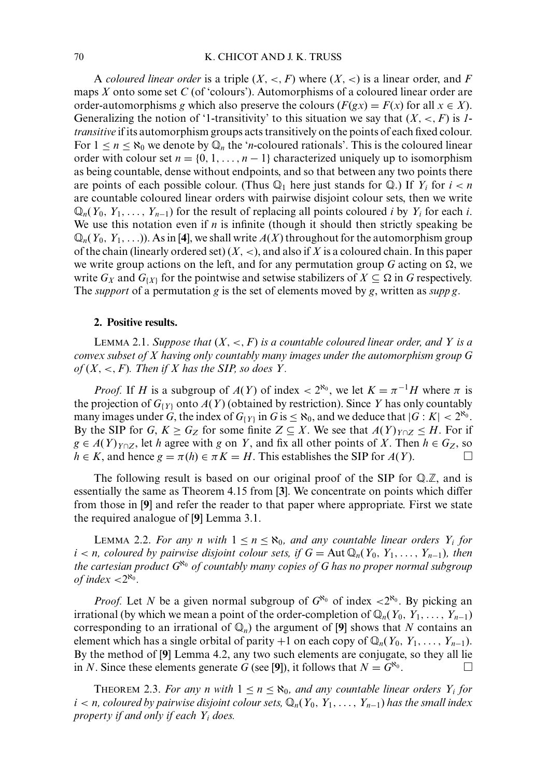A *coloured linear order* is a triple  $(X, \leq, F)$  where  $(X, \leq)$  is a linear order, and F maps *X* onto some set *C* (of 'colours'). Automorphisms of a coloured linear order are order-automorphisms *g* which also preserve the colours ( $F(gx) = F(x)$  for all  $x \in X$ ). Generalizing the notion of '1-transitivity' to this situation we say that  $(X, \le, F)$  is *1transitive* if its automorphism groups acts transitively on the points of each fixed colour. For  $1 \le n \le \aleph_0$  we denote by  $\mathbb{Q}_n$  the '*n*-coloured rationals'. This is the coloured linear order with colour set  $n = \{0, 1, \ldots, n-1\}$  characterized uniquely up to isomorphism as being countable, dense without endpoints, and so that between any two points there are points of each possible colour. (Thus  $\mathbb{Q}_1$  here just stands for  $\mathbb{Q}$ .) If  $Y_i$  for  $i < n$ are countable coloured linear orders with pairwise disjoint colour sets, then we write  $\mathbb{Q}_n(Y_0, Y_1, \ldots, Y_{n-1})$  for the result of replacing all points coloured *i* by  $Y_i$  for each *i*. We use this notation even if  $n$  is infinite (though it should then strictly speaking be  $\mathbb{Q}_n(Y_0, Y_1, \ldots)$ ). As in [4], we shall write  $A(X)$  throughout for the automorphism group of the chain (linearly ordered set) (*X*, <), and also if *X* is a coloured chain. In this paper we write group actions on the left, and for any permutation group  $G$  acting on  $\Omega$ , we write  $G_X$  and  $G_{\{X\}}$  for the pointwise and setwise stabilizers of  $X \subseteq \Omega$  in *G* respectively. The *support* of a permutation *g* is the set of elements moved by *g*, written as *supp g*.

#### **2. Positive results.**

LEMMA 2.1. *Suppose that* (*X*, <, *F*) *is a countable coloured linear order, and Y is a convex subset of X having only countably many images under the automorphism group G*  $of (X, <, F)$ *. Then if X has the SIP, so does Y.* 

*Proof.* If *H* is a subgroup of  $A(Y)$  of index <  $2^{\aleph_0}$ , we let  $K = \pi^{-1}H$  where  $\pi$  is the projection of  $G_{Y}$  onto  $A(Y)$  (obtained by restriction). Since *Y* has only countably many images under *G*, the index of  $G_{\{Y\}}$  in  $G$  is  $\leq \aleph_0$ , and we deduce that  $|G: K| < 2^{\aleph_0}$ . By the SIP for *G*,  $K \geq G_Z$  for some finite  $Z \subseteq X$ . We see that  $A(Y)_{Y \cap Z} \leq H$ . For if *g* ∈ *A*(*Y*) $_{Y \cap Z}$ , let *h* agree with *g* on *Y*, and fix all other points of *X*. Then *h* ∈ *Gz*, so  $h \in K$ , and hence  $g = \pi(h) \in \pi K = H$ . This establishes the SIP for *A*(*Y*).

The following result is based on our original proof of the SIP for  $\mathbb{Q} \mathbb{Z}$ , and is essentially the same as Theorem 4.15 from [**3**]. We concentrate on points which differ from those in [**9**] and refer the reader to that paper where appropriate. First we state the required analogue of [**9**] Lemma 3.1.

LEMMA 2.2. For any n with  $1 \le n \le \aleph_0$ , and any countable linear orders  $Y_i$  for  $i < n$ , coloured by pairwise disjoint colour sets, if  $G = \text{Aut } \mathbb{Q}_n(Y_0, Y_1, \ldots, Y_{n-1})$ , then *the cartesian product G*<sup>ℵ</sup><sup>0</sup> *of countably many copies of G has no proper normal subgroup of index*  $\langle 2^{\aleph_0}$ *.* 

*Proof.* Let *N* be a given normal subgroup of  $G^{\aleph_0}$  of index <2<sup> $\aleph_0$ </sup>. By picking an irrational (by which we mean a point of the order-completion of  $\mathbb{Q}_n(Y_0, Y_1, \ldots, Y_{n-1})$ corresponding to an irrational of  $\mathbb{Q}_n$ ) the argument of [9] shows that *N* contains an element which has a single orbital of parity +1 on each copy of  $\mathbb{Q}_n(Y_0, Y_1, \ldots, Y_{n-1})$ . By the method of [**9**] Lemma 4.2, any two such elements are conjugate, so they all lie in *N*. Since these elements generate *G* (see [9]), it follows that  $N = G^{\aleph_0}$ .

THEOREM 2.3. For any *n* with  $1 \le n \le \aleph_0$ , and any countable linear orders  $Y_i$  for  $i < n$ , coloured by pairwise disjoint colour sets,  $\mathbb{Q}_n(Y_0, Y_1, \ldots, Y_{n-1})$  has the small index *property if and only if each Yi does.*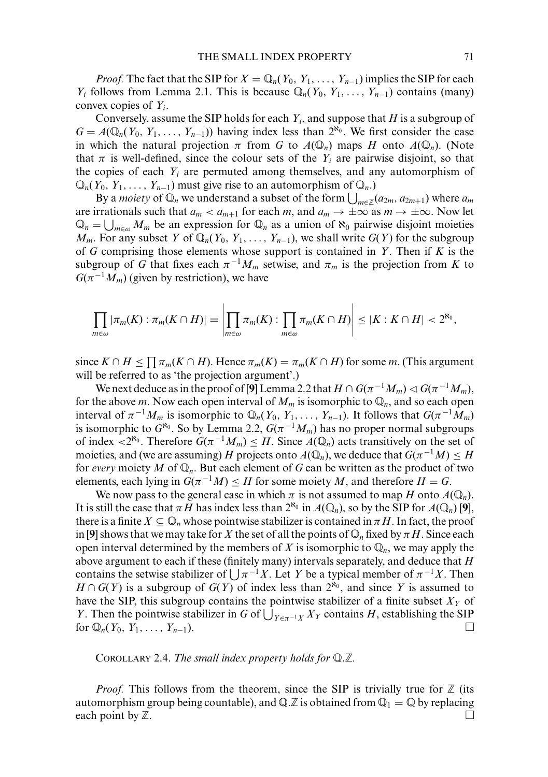*Proof.* The fact that the SIP for  $X = \mathbb{Q}_n(Y_0, Y_1, \ldots, Y_{n-1})$  implies the SIP for each *Y<sub>i</sub>* follows from Lemma 2.1. This is because  $\mathbb{Q}_n(Y_0, Y_1, \ldots, Y_{n-1})$  contains (many) convex copies of *Yi*.

Conversely, assume the SIP holds for each *Yi*, and suppose that *H* is a subgroup of  $G = A(\mathbb{Q}_n(Y_0, Y_1, \ldots, Y_{n-1}))$  having index less than  $2^{\aleph_0}$ . We first consider the case in which the natural projection  $\pi$  from *G* to  $A(\mathbb{Q}_n)$  maps *H* onto  $A(\mathbb{Q}_n)$ . (Note that  $\pi$  is well-defined, since the colour sets of the  $Y_i$  are pairwise disjoint, so that the copies of each  $Y_i$  are permuted among themselves, and any automorphism of  $\mathbb{Q}_n(Y_0, Y_1, \ldots, Y_{n-1})$  must give rise to an automorphism of  $\mathbb{Q}_n$ .)

By a *moiety* of  $\mathbb{Q}_n$  we understand a subset of the form  $\bigcup_{m\in\mathbb{Z}}(a_{2m},a_{2m+1})$  where  $a_m$ are irrationals such that  $a_m < a_{m+1}$  for each *m*, and  $a_m \to \pm \infty$  as  $m \to \pm \infty$ . Now let  $\mathbb{Q}_n = \bigcup_{m \in \omega} M_m$  be an expression for  $\mathbb{Q}_n$  as a union of  $\aleph_0$  pairwise disjoint moieties *M<sub>m</sub>*. For any subset *Y* of  $\mathbb{Q}_n(Y_0, Y_1, \ldots, Y_{n-1})$ , we shall write  $G(Y)$  for the subgroup of *G* comprising those elements whose support is contained in *Y*. Then if *K* is the subgroup of *G* that fixes each  $\pi^{-1}M_m$  setwise, and  $\pi_m$  is the projection from *K* to  $G(\pi^{-1}M_m)$  (given by restriction), we have

$$
\prod_{m\in\omega}|\pi_m(K):\pi_m(K\cap H)|=\left|\prod_{m\in\omega}\pi_m(K):\prod_{m\in\omega}\pi_m(K\cap H)\right|\leq |K:K\cap H|<2^{\aleph_0},
$$

since  $K \cap H \leq \prod \pi_m(K \cap H)$ . Hence  $\pi_m(K) = \pi_m(K \cap H)$  for some *m*. (This argument will be referred to as 'the projection argument'.)

We next deduce as in the proof of [9] Lemma 2.2 that  $H \cap G(\pi^{-1}M_m) \lhd G(\pi^{-1}M_m)$ , for the above *m*. Now each open interval of  $M_m$  is isomorphic to  $\mathbb{Q}_n$ , and so each open interval of  $\pi^{-1}M_m$  is isomorphic to  $\mathbb{Q}_n(Y_0, Y_1, \ldots, Y_{n-1})$ . It follows that  $G(\pi^{-1}M_m)$ is isomorphic to  $G^{\aleph_0}$ . So by Lemma 2.2,  $G(\pi^{-1}M_m)$  has no proper normal subgroups of index  $\langle 2^{k_0} \rangle$ . Therefore  $G(\pi^{-1}M_m) \leq H$ . Since  $A(\mathbb{Q}_n)$  acts transitively on the set of moieties, and (we are assuming)  $H$  projects onto  $A(\mathbb{Q}_n)$ , we deduce that  $G(\pi^{-1}M)\leq H$ for *every* moiety M of  $\mathbb{Q}_n$ . But each element of G can be written as the product of two elements, each lying in  $G(\pi^{-1}M) \leq H$  for some moiety M, and therefore  $H = G$ .

We now pass to the general case in which  $\pi$  is not assumed to map *H* onto  $A(\mathbb{Q}_n)$ . It is still the case that  $\pi H$  has index less than  $2^{\aleph_0}$  in  $A(\mathbb{Q}_n)$ , so by the SIP for  $A(\mathbb{Q}_n)$  [9], there is a finite  $X \subseteq \mathbb{Q}_n$  whose pointwise stabilizer is contained in  $\pi H$ . In fact, the proof in [9] shows that we may take for *X* the set of all the points of  $\mathbb{Q}_n$  fixed by  $\pi$  *H*. Since each open interval determined by the members of *X* is isomorphic to  $\mathbb{Q}_n$ , we may apply the above argument to each if these (finitely many) intervals separately, and deduce that *H* contains the setwise stabilizer of  $\int \pi^{-1}X$ . Let *Y* be a typical member of  $\pi^{-1}X$ . Then *H* ∩ *G*(*Y*) is a subgroup of *G*(*Y*) of index less than  $2^{\aleph_0}$ , and since *Y* is assumed to have the SIP, this subgroup contains the pointwise stabilizer of a finite subset  $X<sub>Y</sub>$  of *Y*. Then the pointwise stabilizer in *G* of  $\bigcup_{Y \in \pi^{-1}X} X_Y$  contains *H*, establishing the SIP for  $\mathbb{Q}_n(Y_0, Y_1, \ldots, Y_{n-1}).$ 

COROLLARY 2.4. The small index property holds for Q.Z.

*Proof.* This follows from the theorem, since the SIP is trivially true for  $\mathbb Z$  (its automorphism group being countable), and  $\mathbb{Q} \mathbb{Z}$  is obtained from  $\mathbb{Q}_1 = \mathbb{Q}$  by replacing each point by  $\mathbb{Z}$ .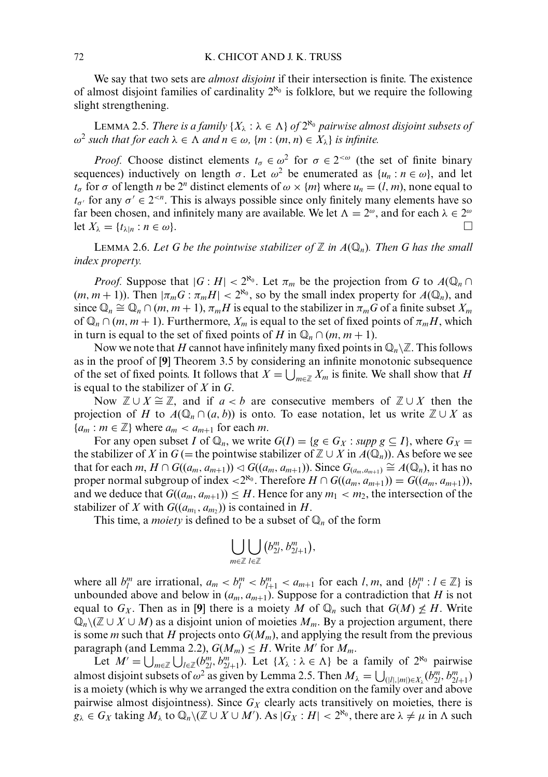We say that two sets are *almost disjoint* if their intersection is finite. The existence of almost disjoint families of cardinality  $2^{\aleph_0}$  is folklore, but we require the following slight strengthening.

LEMMA 2.5. *There is a family*  $\{X_\lambda : \lambda \in \Lambda\}$  *of*  $2^{\aleph_0}$  *pairwise almost disjoint subsets of*  $ω<sup>2</sup>$  *such that for each*  $λ ∈ Λ$  *and*  $n ∈ ω$ *,*  ${m : (m, n) ∈ X<sub>λ</sub>}$  *is infinite.* 

*Proof.* Choose distinct elements  $t_{\sigma} \in \omega^2$  for  $\sigma \in 2^{<\omega}$  (the set of finite binary sequences) inductively on length  $\sigma$ . Let  $\omega^2$  be enumerated as  $\{u_n : n \in \omega\}$ , and let *t*<sub>σ</sub> for  $\sigma$  of length *n* be 2<sup>*n*</sup> distinct elements of  $\omega \times \{m\}$  where  $u_n = (l, m)$ , none equal to  $t_{\sigma'}$  for any  $\sigma' \in 2^{< n}$ . This is always possible since only finitely many elements have so far been chosen, and infinitely many are available. We let  $\Lambda = 2^{\omega}$ , and for each  $\lambda \in 2^{\omega}$ let  $X_{\lambda} = \{t_{\lambda|n} : n \in \omega\}.$ 

LEMMA 2.6. Let G be the pointwise stabilizer of  $\mathbb Z$  in  $A(\mathbb Q_n)$ . Then G has the small *index property.*

*Proof.* Suppose that  $|G : H| < 2^{\aleph_0}$ . Let  $\pi_m$  be the projection from G to  $A(\mathbb{Q}_n \cap$  $(m, m + 1)$ ). Then  $|\pi_m G : \pi_m H| < 2^{\aleph_0}$ , so by the small index property for  $A(\mathbb{Q}_n)$ , and since  $\mathbb{Q}_n \cong \mathbb{Q}_n \cap (m, m+1), \pi_m H$  is equal to the stabilizer in  $\pi_m G$  of a finite subset  $X_m$ of  $\mathbb{Q}_n \cap (m, m + 1)$ . Furthermore,  $X_m$  is equal to the set of fixed points of  $\pi_m H$ , which in turn is equal to the set of fixed points of *H* in  $\mathbb{Q}_n \cap (m, m + 1)$ .

Now we note that H cannot have infinitely many fixed points in  $\mathbb{Q}_n\backslash\mathbb{Z}$ . This follows as in the proof of [**9**] Theorem 3.5 by considering an infinite monotonic subsequence of the set of fixed points. It follows that  $X = \bigcup_{m \in \mathbb{Z}} X_m$  is finite. We shall show that *H* is equal to the stabilizer of *X* in *G*.

Now  $\mathbb{Z} \cup X \cong \mathbb{Z}$ , and if *a* < *b* are consecutive members of  $\mathbb{Z} \cup X$  then the projection of *H* to  $A(\mathbb{Q}_n \cap (a, b))$  is onto. To ease notation, let us write  $\mathbb{Z} \cup X$  as  ${a_m : m \in \mathbb{Z} }$  where  $a_m < a_{m+1}$  for each *m*.

For any open subset *I* of  $\mathbb{Q}_n$ , we write  $G(I) = \{g \in G_X : \text{supp } g \subseteq I\}$ , where  $G_X =$ the stabilizer of *X* in  $G$  (= the pointwise stabilizer of  $\mathbb{Z} \cup X$  in  $A(\mathbb{Q}_n)$ ). As before we see that for each *m*,  $H \cap G((a_m, a_{m+1})) \triangleleft G((a_m, a_{m+1}))$ . Since  $G_{(a_m, a_{m+1})} \cong A(\mathbb{Q}_n)$ , it has no proper normal subgroup of index <2<sup> $\aleph_0$ </sup>. Therefore *H* ∩ *G*(( $a_m$ ,  $a_{m+1}$ )) = *G*(( $a_m$ ,  $a_{m+1}$ )), and we deduce that  $G((a_m, a_{m+1})) \leq H$ . Hence for any  $m_1 < m_2$ , the intersection of the stabilizer of *X* with  $G((a_{m_1}, a_{m_2}))$  is contained in *H*.

This time, a *moiety* is defined to be a subset of  $\mathbb{Q}_n$  of the form

$$
\bigcup_{m\in\mathbb{Z}}\bigcup_{l\in\mathbb{Z}}\left(b_{2l}^m,b_{2l+1}^m\right),
$$

where all  $b_l^m$  are irrational,  $a_m < b_l^m < b_{l+1}^m < a_{m+1}$  for each *l*, *m*, and  $\{b_l^m : l \in \mathbb{Z}\}\)$  is unbounded above and below in  $(a_m, a_{m+1})$ . Suppose for a contradiction that *H* is not equal to  $G_X$ . Then as in [9] there is a moiety M of  $\mathbb{Q}_n$  such that  $G(M) \nleq H$ . Write -*<sup>n</sup>*\( ∪ *X* ∪ *M*) as a disjoint union of moieties *Mm*. By a projection argument, there is some *m* such that *H* projects onto  $G(M_m)$ , and applying the result from the previous paragraph (and Lemma 2.2),  $G(M_m) \leq H$ . Write M' for  $M_m$ .

Let  $M' = \bigcup_{m \in \mathbb{Z}} \bigcup_{l \in \mathbb{Z}} (b_{2l}^m, b_{2l+1}^m)$ . Let  $\{X_\lambda : \lambda \in \Lambda\}$  be a family of  $2^{\aleph_0}$  pairwise almost disjoint subsets of  $\omega^2$  as given by Lemma 2.5. Then  $M_\lambda = \bigcup_{(|l|,|m|) \in X_\lambda} (b_{2l}^m, b_{2l+1}^m)$ is a moiety (which is why we arranged the extra condition on the family over and above pairwise almost disjointness). Since  $G_X$  clearly acts transitively on moieties, there is  $g_{\lambda} \in G_X$  taking  $M_{\lambda}$  to  $\mathbb{Q}_n \setminus (\mathbb{Z} \cup X \cup M')$ . As  $|G_X : H| < 2^{\aleph_0}$ , there are  $\lambda \neq \mu$  in  $\Lambda$  such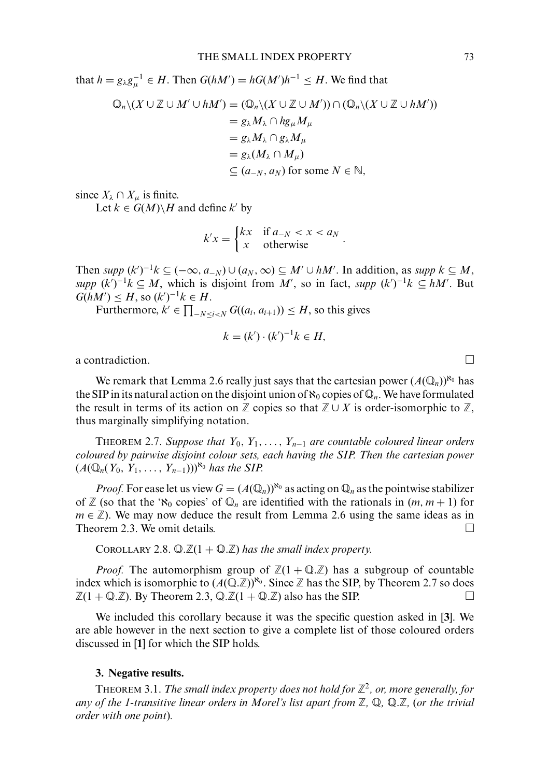that  $h = g_{\lambda}g_{\mu}^{-1} \in H$ . Then  $G(hM') = hG(M')h^{-1} \leq H$ . We find that

$$
\mathbb{Q}_n \setminus (X \cup \mathbb{Z} \cup M' \cup hM') = (\mathbb{Q}_n \setminus (X \cup \mathbb{Z} \cup M')) \cap (\mathbb{Q}_n \setminus (X \cup \mathbb{Z} \cup hM'))
$$
  
\n
$$
= g_{\lambda} M_{\lambda} \cap hg_{\mu} M_{\mu}
$$
  
\n
$$
= g_{\lambda} M_{\lambda} \cap g_{\lambda} M_{\mu}
$$
  
\n
$$
= g_{\lambda} (M_{\lambda} \cap M_{\mu})
$$
  
\n
$$
\subseteq (a_{-N}, a_N) \text{ for some } N \in \mathbb{N},
$$

since  $X_{\lambda} \cap X_{\mu}$  is finite.

Let  $k \in G(M) \backslash H$  and define  $k'$  by

$$
k'x = \begin{cases} kx & \text{if } a_{-N} < x < a_N \\ x & \text{otherwise} \end{cases}.
$$

Then  $supp (k')^{-1}k \subseteq (-\infty, a_{-N}) \cup (a_N, \infty) \subseteq M' \cup hM'$ . In addition, as  $supp k \subseteq M$ , *supp*  $(k')^{-1}k$  ⊆ *M*, which is disjoint from *M'*, so in fact, *supp*  $(k')^{-1}k$  ⊆ *hM'*. But  $G(hM') \leq H$ , so  $(k')^{-1}k \in H$ .

Furthermore,  $k' \in \prod_{-N \le i < N} G((a_i, a_{i+1})) \le H$ , so this gives

$$
k = (k') \cdot (k')^{-1}k \in H,
$$

a contradiction.  $\Box$ 

We remark that Lemma 2.6 really just says that the cartesian power  $(A(\mathbb{Q}_n))^{\aleph_0}$  has the SIP in its natural action on the disjoint union of  $\aleph_0$  copies of  $\mathbb{Q}_n$ . We have formulated the result in terms of its action on  $\mathbb Z$  copies so that  $\mathbb Z \cup X$  is order-isomorphic to  $\mathbb Z$ , thus marginally simplifying notation.

THEOREM 2.7. *Suppose that*  $Y_0, Y_1, \ldots, Y_{n-1}$  *are countable coloured linear orders coloured by pairwise disjoint colour sets, each having the SIP. Then the cartesian power*  $(A(\mathbb{Q}_n(Y_0, Y_1, \ldots, Y_{n-1})))^{\aleph_0}$  *has the SIP.* 

*Proof.* For ease let us view  $G = (A(\mathbb{Q}_n))^{\aleph_0}$  as acting on  $\mathbb{Q}_n$  as the pointwise stabilizer of  $\mathbb{Z}$  (so that the ' $\aleph_0$  copies' of  $\mathbb{Q}_n$  are identified with the rationals in  $(m, m + 1)$  for  $m \in \mathbb{Z}$ ). We may now deduce the result from Lemma 2.6 using the same ideas as in Theorem 2.3. We omit details.

COROLLARY 2.8.  $\mathbb{Q}.\mathbb{Z}(1 + \mathbb{Q}.\mathbb{Z})$  has the small index property.

*Proof.* The automorphism group of  $\mathbb{Z}(1 + \mathbb{Q} \mathbb{Z})$  has a subgroup of countable index which is isomorphic to  $(A(\mathbb{Q}, \mathbb{Z}))^{\aleph_0}$ . Since  $\mathbb Z$  has the SIP, by Theorem 2.7 so does  $\mathbb{Z}(1 + \mathbb{Q}.\mathbb{Z})$ . By Theorem 2.3,  $\mathbb{Q}.\mathbb{Z}(1 + \mathbb{Q}.\mathbb{Z})$  also has the SIP.

We included this corollary because it was the specific question asked in [**3**]. We are able however in the next section to give a complete list of those coloured orders discussed in [**1**] for which the SIP holds.

#### **3. Negative results.**

THEOREM 3.1. *The small index property does not hold for*  $\mathbb{Z}^2$ , *or, more generally, for any of the 1-transitive linear orders in Morel's list apart from*  $\mathbb{Z}$ *,*  $\mathbb{Q}$ *,*  $\mathbb{Q}$ *.* $\mathbb{Z}$ *, (or the trivial order with one point*)*.*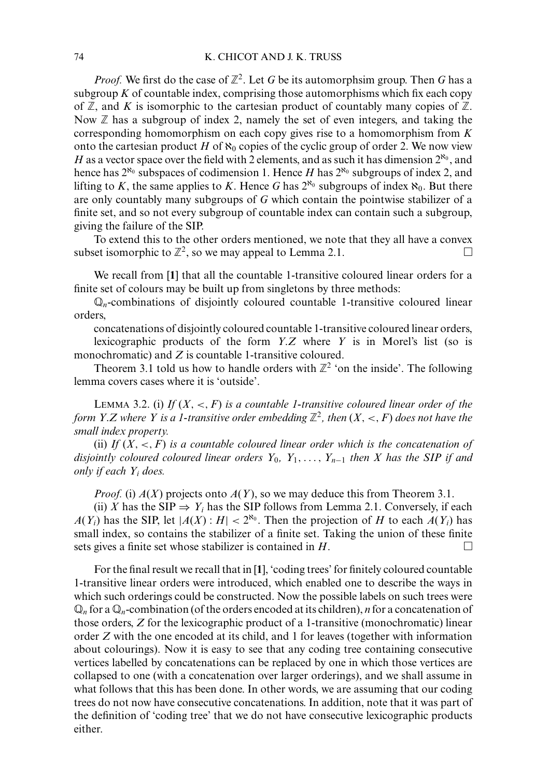*Proof.* We first do the case of  $\mathbb{Z}^2$ . Let *G* be its automorphsim group. Then *G* has a subgroup  $K$  of countable index, comprising those automorphisms which fix each copy of  $\mathbb Z$ , and *K* is isomorphic to the cartesian product of countably many copies of  $\mathbb Z$ . Now  $\mathbb Z$  has a subgroup of index 2, namely the set of even integers, and taking the corresponding homomorphism on each copy gives rise to a homomorphism from *K* onto the cartesian product *H* of  $\aleph_0$  copies of the cyclic group of order 2. We now view *H* as a vector space over the field with 2 elements, and as such it has dimension  $2^{\aleph_0}$ , and hence has  $2^{\aleph_0}$  subspaces of codimension 1. Hence *H* has  $2^{\aleph_0}$  subgroups of index 2, and lifting to *K*, the same applies to *K*. Hence *G* has  $2^{\aleph_0}$  subgroups of index  $\aleph_0$ . But there are only countably many subgroups of *G* which contain the pointwise stabilizer of a finite set, and so not every subgroup of countable index can contain such a subgroup, giving the failure of the SIP.

To extend this to the other orders mentioned, we note that they all have a convex subset isomorphic to  $\mathbb{Z}^2$ , so we may appeal to Lemma 2.1.

We recall from [**1**] that all the countable 1-transitive coloured linear orders for a finite set of colours may be built up from singletons by three methods:

-*<sup>n</sup>*-combinations of disjointly coloured countable 1-transitive coloured linear orders,

concatenations of disjointly coloured countable 1-transitive coloured linear orders,

lexicographic products of the form *Y*.*Z* where *Y* is in Morel's list (so is monochromatic) and *Z* is countable 1-transitive coloured.

Theorem 3.1 told us how to handle orders with  $\mathbb{Z}^2$  'on the inside'. The following lemma covers cases where it is 'outside'.

LEMMA 3.2. (i) If  $(X, \leq, F)$  *is a countable 1-transitive coloured linear order of the form Y.Z where Y is a 1-transitive order embedding*  $\mathbb{Z}^2$ , then  $(X, \le, F)$  does not have the *small index property.*

(ii) If  $(X, \leq, F)$  *is a countable coloured linear order which is the concatenation of disjointly coloured coloured linear orders Y*0*, Y*1,..., *Yn*<sup>−</sup><sup>1</sup> *then X has the SIP if and only if each Yi does.*

*Proof.* (i) *A*(*X*) projects onto *A*(*Y*), so we may deduce this from Theorem 3.1.

(ii) *X* has the SIP  $\Rightarrow$  *Y<sub>i</sub>* has the SIP follows from Lemma 2.1. Conversely, if each  $A(Y_i)$  has the SIP, let  $|A(X):H| < 2^{\aleph_0}$ . Then the projection of *H* to each  $A(Y_i)$  has small index, so contains the stabilizer of a finite set. Taking the union of these finite sets gives a finite set whose stabilizer is contained in *H*.

For the final result we recall that in [**1**], 'coding trees' for finitely coloured countable 1-transitive linear orders were introduced, which enabled one to describe the ways in which such orderings could be constructed. Now the possible labels on such trees were  $\mathbb{Q}_n$  for a  $\mathbb{Q}_n$ -combination (of the orders encoded at its children), *n* for a concatenation of those orders, *Z* for the lexicographic product of a 1-transitive (monochromatic) linear order *Z* with the one encoded at its child, and 1 for leaves (together with information about colourings). Now it is easy to see that any coding tree containing consecutive vertices labelled by concatenations can be replaced by one in which those vertices are collapsed to one (with a concatenation over larger orderings), and we shall assume in what follows that this has been done. In other words, we are assuming that our coding trees do not now have consecutive concatenations. In addition, note that it was part of the definition of 'coding tree' that we do not have consecutive lexicographic products either.